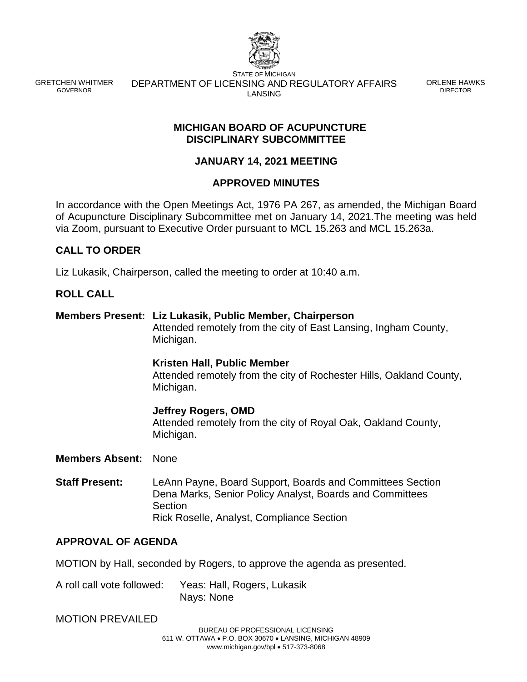

GRETCHEN WHITMER GOVERNOR

STATE OF MICHIGAN DEPARTMENT OF LICENSING AND REGULATORY AFFAIRS LANSING

ORLENE HAWKS DIRECTOR

### **MICHIGAN BOARD OF ACUPUNCTURE DISCIPLINARY SUBCOMMITTEE**

# **JANUARY 14, 2021 MEETING**

## **APPROVED MINUTES**

In accordance with the Open Meetings Act, 1976 PA 267, as amended, the Michigan Board of Acupuncture Disciplinary Subcommittee met on January 14, 2021.The meeting was held via Zoom, pursuant to Executive Order pursuant to MCL 15.263 and MCL 15.263a.

# **CALL TO ORDER**

Liz Lukasik, Chairperson, called the meeting to order at 10:40 a.m.

## **ROLL CALL**

**Members Present: Liz Lukasik, Public Member, Chairperson** Attended remotely from the city of East Lansing, Ingham County, Michigan. **Kristen Hall, Public Member** Attended remotely from the city of Rochester Hills, Oakland County, Michigan. **Jeffrey Rogers, OMD** Attended remotely from the city of Royal Oak, Oakland County, Michigan.

### **Members Absent:** None

**Staff Present:** LeAnn Payne, Board Support, Boards and Committees Section Dena Marks, Senior Policy Analyst, Boards and Committees Section Rick Roselle, Analyst, Compliance Section

## **APPROVAL OF AGENDA**

MOTION by Hall, seconded by Rogers, to approve the agenda as presented.

A roll call vote followed: Yeas: Hall, Rogers, Lukasik Nays: None

### MOTION PREVAILED